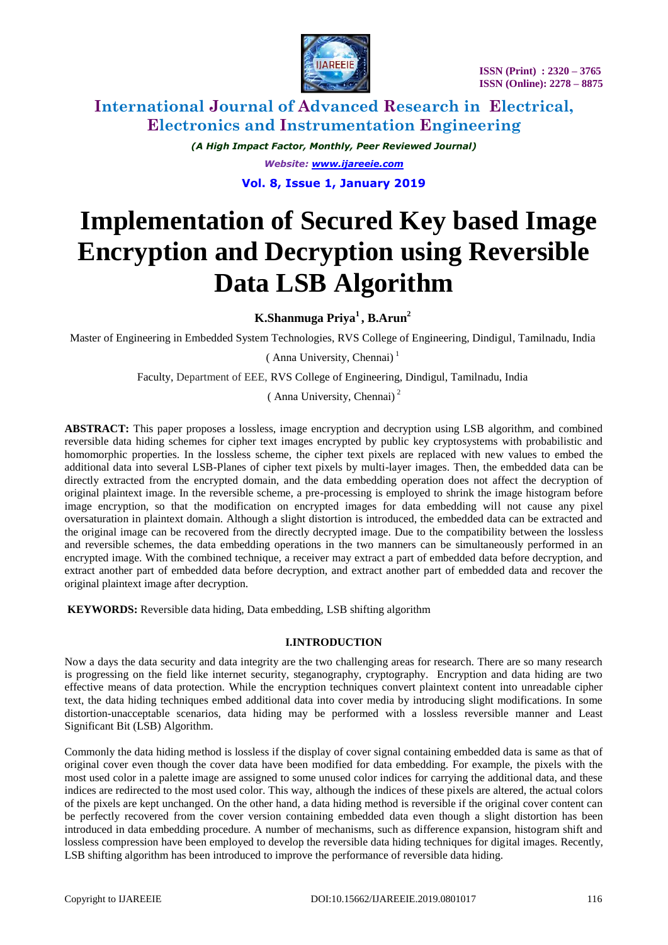

*(A High Impact Factor, Monthly, Peer Reviewed Journal) Website: [www.ijareeie.com](http://www.ijareeie.com/)* **Vol. 8, Issue 1, January 2019**

# **Implementation of Secured Key based Image Encryption and Decryption using Reversible Data LSB Algorithm**

**K.Shanmuga Priya<sup>1</sup> , B.Arun<sup>2</sup>**

Master of Engineering in Embedded System Technologies, RVS College of Engineering, Dindigul, Tamilnadu, India

 $(Anna University, Chenna)<sup>1</sup>$ 

Faculty, Department of EEE, RVS College of Engineering, Dindigul, Tamilnadu, India

( Anna University, Chennai) <sup>2</sup>

**ABSTRACT:** This paper proposes a lossless, image encryption and decryption using LSB algorithm, and combined reversible data hiding schemes for cipher text images encrypted by public key cryptosystems with probabilistic and homomorphic properties. In the lossless scheme, the cipher text pixels are replaced with new values to embed the additional data into several LSB-Planes of cipher text pixels by multi-layer images. Then, the embedded data can be directly extracted from the encrypted domain, and the data embedding operation does not affect the decryption of original plaintext image. In the reversible scheme, a pre-processing is employed to shrink the image histogram before image encryption, so that the modification on encrypted images for data embedding will not cause any pixel oversaturation in plaintext domain. Although a slight distortion is introduced, the embedded data can be extracted and the original image can be recovered from the directly decrypted image. Due to the compatibility between the lossless and reversible schemes, the data embedding operations in the two manners can be simultaneously performed in an encrypted image. With the combined technique, a receiver may extract a part of embedded data before decryption, and extract another part of embedded data before decryption, and extract another part of embedded data and recover the original plaintext image after decryption.

**KEYWORDS:** Reversible data hiding, Data embedding, LSB shifting algorithm

#### **I.INTRODUCTION**

Now a days the data security and data integrity are the two challenging areas for research. There are so many research is progressing on the field like internet security, steganography, cryptography. Encryption and data hiding are two effective means of data protection. While the encryption techniques convert plaintext content into unreadable cipher text, the data hiding techniques embed additional data into cover media by introducing slight modifications. In some distortion-unacceptable scenarios, data hiding may be performed with a lossless reversible manner and Least Significant Bit (LSB) Algorithm.

Commonly the data hiding method is lossless if the display of cover signal containing embedded data is same as that of original cover even though the cover data have been modified for data embedding. For example, the pixels with the most used color in a palette image are assigned to some unused color indices for carrying the additional data, and these indices are redirected to the most used color. This way, although the indices of these pixels are altered, the actual colors of the pixels are kept unchanged. On the other hand, a data hiding method is reversible if the original cover content can be perfectly recovered from the cover version containing embedded data even though a slight distortion has been introduced in data embedding procedure. A number of mechanisms, such as difference expansion, histogram shift and lossless compression have been employed to develop the reversible data hiding techniques for digital images. Recently, LSB shifting algorithm has been introduced to improve the performance of reversible data hiding.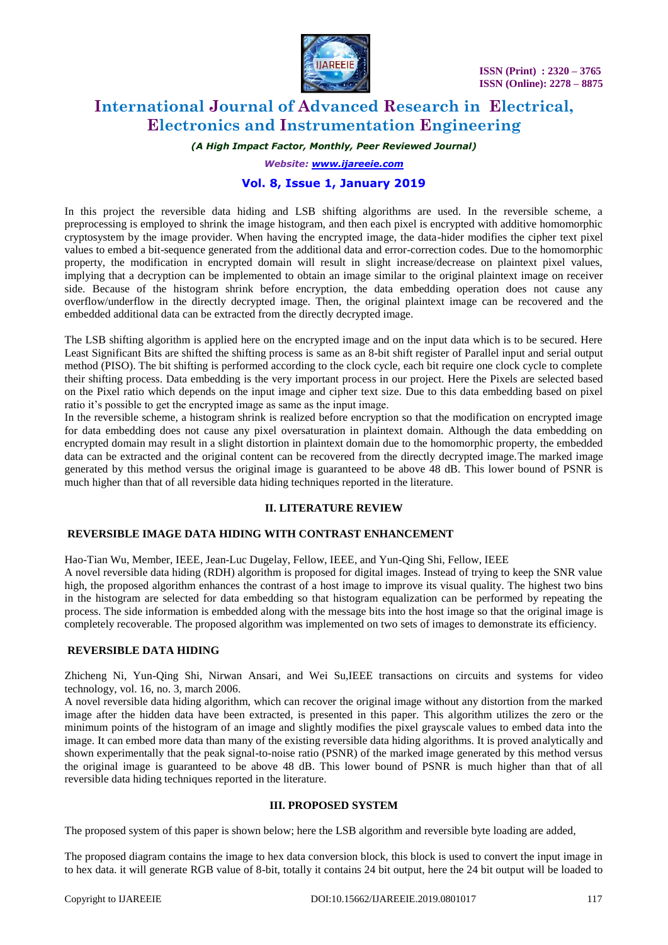

### *(A High Impact Factor, Monthly, Peer Reviewed Journal)*

*Website: [www.ijareeie.com](http://www.ijareeie.com/)*

## **Vol. 8, Issue 1, January 2019**

In this project the reversible data hiding and LSB shifting algorithms are used. In the reversible scheme, a preprocessing is employed to shrink the image histogram, and then each pixel is encrypted with additive homomorphic cryptosystem by the image provider. When having the encrypted image, the data-hider modifies the cipher text pixel values to embed a bit-sequence generated from the additional data and error-correction codes. Due to the homomorphic property, the modification in encrypted domain will result in slight increase/decrease on plaintext pixel values, implying that a decryption can be implemented to obtain an image similar to the original plaintext image on receiver side. Because of the histogram shrink before encryption, the data embedding operation does not cause any overflow/underflow in the directly decrypted image. Then, the original plaintext image can be recovered and the embedded additional data can be extracted from the directly decrypted image.

The LSB shifting algorithm is applied here on the encrypted image and on the input data which is to be secured. Here Least Significant Bits are shifted the shifting process is same as an 8-bit shift register of Parallel input and serial output method (PISO). The bit shifting is performed according to the clock cycle, each bit require one clock cycle to complete their shifting process. Data embedding is the very important process in our project. Here the Pixels are selected based on the Pixel ratio which depends on the input image and cipher text size. Due to this data embedding based on pixel ratio it's possible to get the encrypted image as same as the input image.

In the reversible scheme, a histogram shrink is realized before encryption so that the modification on encrypted image for data embedding does not cause any pixel oversaturation in plaintext domain. Although the data embedding on encrypted domain may result in a slight distortion in plaintext domain due to the homomorphic property, the embedded data can be extracted and the original content can be recovered from the directly decrypted image.The marked image generated by this method versus the original image is guaranteed to be above 48 dB. This lower bound of PSNR is much higher than that of all reversible data hiding techniques reported in the literature.

#### **II. LITERATURE REVIEW**

### **REVERSIBLE IMAGE DATA HIDING WITH CONTRAST ENHANCEMENT**

Hao-Tian Wu, Member, IEEE, Jean-Luc Dugelay, Fellow, IEEE, and Yun-Qing Shi, Fellow, IEEE

A novel reversible data hiding (RDH) algorithm is proposed for digital images. Instead of trying to keep the SNR value high, the proposed algorithm enhances the contrast of a host image to improve its visual quality. The highest two bins in the histogram are selected for data embedding so that histogram equalization can be performed by repeating the process. The side information is embedded along with the message bits into the host image so that the original image is completely recoverable. The proposed algorithm was implemented on two sets of images to demonstrate its efficiency.

## **REVERSIBLE DATA HIDING**

Zhicheng Ni, Yun-Qing Shi, Nirwan Ansari, and Wei Su,IEEE transactions on circuits and systems for video technology, vol. 16, no. 3, march 2006.

A novel reversible data hiding algorithm, which can recover the original image without any distortion from the marked image after the hidden data have been extracted, is presented in this paper. This algorithm utilizes the zero or the minimum points of the histogram of an image and slightly modifies the pixel grayscale values to embed data into the image. It can embed more data than many of the existing reversible data hiding algorithms. It is proved analytically and shown experimentally that the peak signal-to-noise ratio (PSNR) of the marked image generated by this method versus the original image is guaranteed to be above 48 dB. This lower bound of PSNR is much higher than that of all reversible data hiding techniques reported in the literature.

#### **III. PROPOSED SYSTEM**

The proposed system of this paper is shown below; here the LSB algorithm and reversible byte loading are added,

The proposed diagram contains the image to hex data conversion block, this block is used to convert the input image in to hex data. it will generate RGB value of 8-bit, totally it contains 24 bit output, here the 24 bit output will be loaded to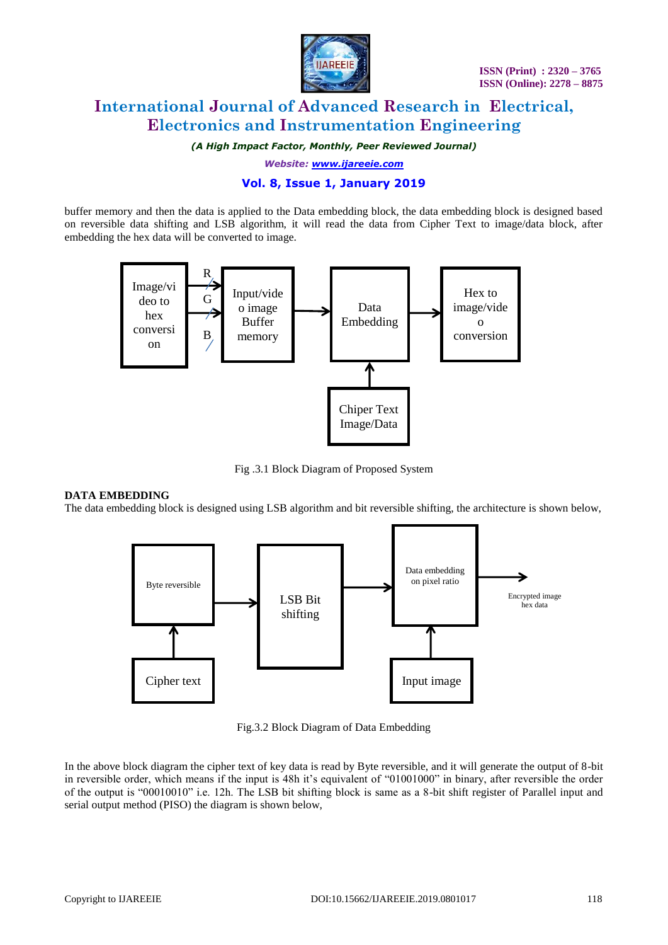

*(A High Impact Factor, Monthly, Peer Reviewed Journal)*

*Website: [www.ijareeie.com](http://www.ijareeie.com/)*

# **Vol. 8, Issue 1, January 2019**

buffer memory and then the data is applied to the Data embedding block, the data embedding block is designed based on reversible data shifting and LSB algorithm, it will read the data from Cipher Text to image/data block, after embedding the hex data will be converted to image.



Fig .3.1 Block Diagram of Proposed System

#### **DATA EMBEDDING**

The data embedding block is designed using LSB algorithm and bit reversible shifting, the architecture is shown below,



Fig.3.2 Block Diagram of Data Embedding

In the above block diagram the cipher text of key data is read by Byte reversible, and it will generate the output of 8-bit in reversible order, which means if the input is 48h it's equivalent of "01001000" in binary, after reversible the order of the output is "00010010" i.e. 12h. The LSB bit shifting block is same as a 8-bit shift register of Parallel input and serial output method (PISO) the diagram is shown below,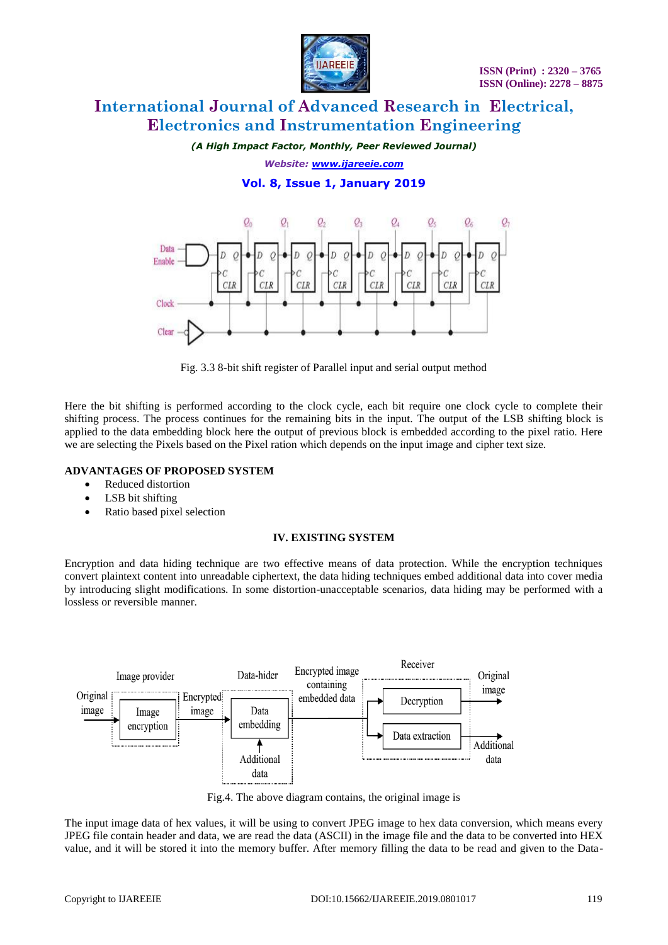

*(A High Impact Factor, Monthly, Peer Reviewed Journal) Website: [www.ijareeie.com](http://www.ijareeie.com/)*

**Vol. 8, Issue 1, January 2019**



Fig. 3.3 8-bit shift register of Parallel input and serial output method

Here the bit shifting is performed according to the clock cycle, each bit require one clock cycle to complete their shifting process. The process continues for the remaining bits in the input. The output of the LSB shifting block is applied to the data embedding block here the output of previous block is embedded according to the pixel ratio. Here we are selecting the Pixels based on the Pixel ration which depends on the input image and cipher text size.

## **ADVANTAGES OF PROPOSED SYSTEM**

- Reduced distortion
- LSB bit shifting
- Ratio based pixel selection

## **IV. EXISTING SYSTEM**

Encryption and data hiding technique are two effective means of data protection. While the encryption techniques convert plaintext content into unreadable ciphertext, the data hiding techniques embed additional data into cover media by introducing slight modifications. In some distortion-unacceptable scenarios, data hiding may be performed with a lossless or reversible manner.



Fig.4. The above diagram contains, the original image is

The input image data of hex values, it will be using to convert JPEG image to hex data conversion, which means every JPEG file contain header and data, we are read the data (ASCII) in the image file and the data to be converted into HEX value, and it will be stored it into the memory buffer. After memory filling the data to be read and given to the Data-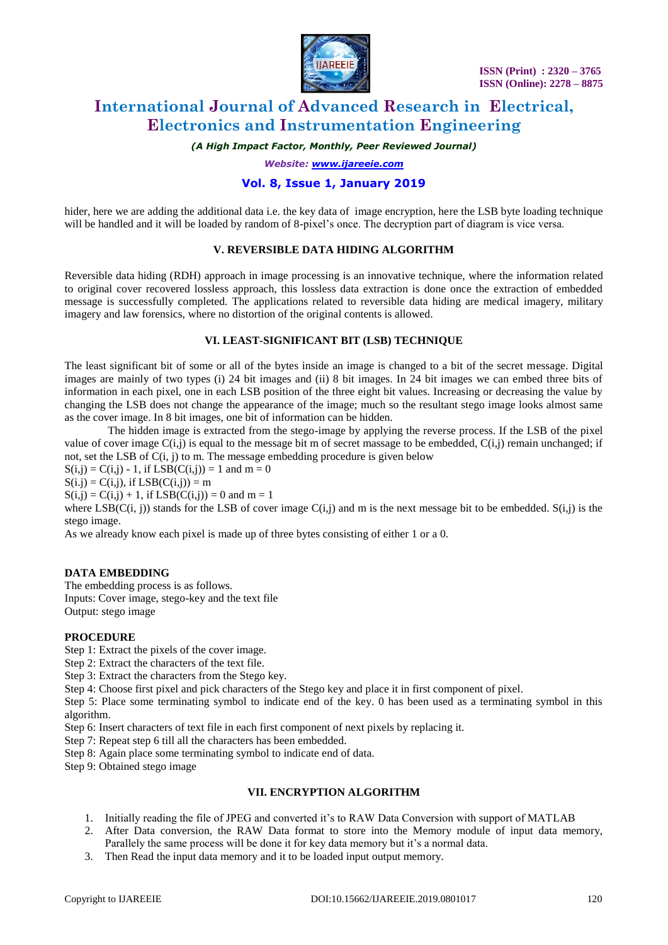

*(A High Impact Factor, Monthly, Peer Reviewed Journal)*

*Website: [www.ijareeie.com](http://www.ijareeie.com/)*

## **Vol. 8, Issue 1, January 2019**

hider, here we are adding the additional data i.e. the key data of image encryption, here the LSB byte loading technique will be handled and it will be loaded by random of 8-pixel's once. The decryption part of diagram is vice versa.

#### **V. REVERSIBLE DATA HIDING ALGORITHM**

Reversible data hiding (RDH) approach in image processing is an innovative technique, where the information related to original cover recovered lossless approach, this lossless data extraction is done once the extraction of embedded message is successfully completed. The applications related to reversible data hiding are medical imagery, military imagery and law forensics, where no distortion of the original contents is allowed.

#### **VI. LEAST-SIGNIFICANT BIT (LSB) TECHNIQUE**

The least significant bit of some or all of the bytes inside an image is changed to a bit of the secret message. Digital images are mainly of two types (i) 24 bit images and (ii) 8 bit images. In 24 bit images we can embed three bits of information in each pixel, one in each LSB position of the three eight bit values. Increasing or decreasing the value by changing the LSB does not change the appearance of the image; much so the resultant stego image looks almost same as the cover image. In 8 bit images, one bit of information can be hidden.

The hidden image is extracted from the stego-image by applying the reverse process. If the LSB of the pixel value of cover image  $C(i,j)$  is equal to the message bit m of secret massage to be embedded,  $C(i,j)$  remain unchanged; if not, set the LSB of C(i, j) to m. The message embedding procedure is given below

 $S(i,j) = C(i,j) - 1$ , if  $LSB(C(i,j)) = 1$  and  $m = 0$ 

 $S(i,j) = C(i,j)$ , if  $LSB(C(i,j)) = m$ 

 $S(i,j) = C(i,j) + 1$ , if  $LSB(C(i,j)) = 0$  and m = 1

where  $LSB(C(i, j))$  stands for the LSB of cover image  $C(i,j)$  and m is the next message bit to be embedded.  $S(i,j)$  is the stego image.

As we already know each pixel is made up of three bytes consisting of either 1 or a 0.

#### **DATA EMBEDDING**

The embedding process is as follows. Inputs: Cover image, stego-key and the text file Output: stego image

#### **PROCEDURE**

Step 1: Extract the pixels of the cover image.

- Step 2: Extract the characters of the text file.
- Step 3: Extract the characters from the Stego key.
- Step 4: Choose first pixel and pick characters of the Stego key and place it in first component of pixel.

Step 5: Place some terminating symbol to indicate end of the key. 0 has been used as a terminating symbol in this algorithm.

Step 6: Insert characters of text file in each first component of next pixels by replacing it.

- Step 7: Repeat step 6 till all the characters has been embedded.
- Step 8: Again place some terminating symbol to indicate end of data.

Step 9: Obtained stego image

### **VII. ENCRYPTION ALGORITHM**

- 1. Initially reading the file of JPEG and converted it's to RAW Data Conversion with support of MATLAB
- 2. After Data conversion, the RAW Data format to store into the Memory module of input data memory, Parallely the same process will be done it for key data memory but it's a normal data.
- 3. Then Read the input data memory and it to be loaded input output memory.